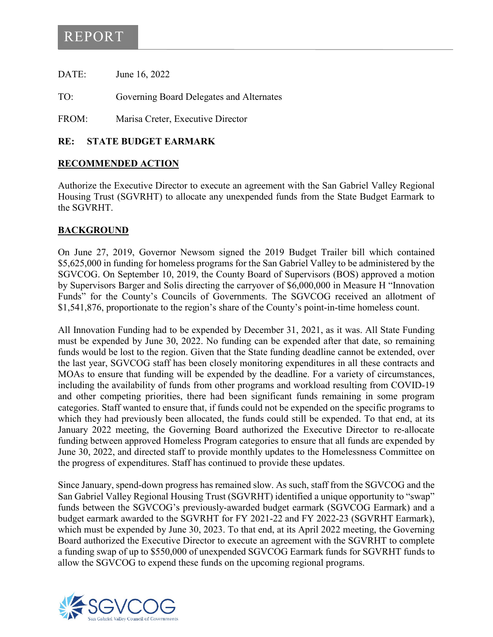## REPORT

DATE: June 16, 2022

TO: Governing Board Delegates and Alternates

FROM: Marisa Creter, Executive Director

#### **RE: STATE BUDGET EARMARK**

#### **RECOMMENDED ACTION**

Authorize the Executive Director to execute an agreement with the San Gabriel Valley Regional Housing Trust (SGVRHT) to allocate any unexpended funds from the State Budget Earmark to the SGVRHT.

### **BACKGROUND**

On June 27, 2019, Governor Newsom signed the 2019 Budget Trailer bill which contained \$5,625,000 in funding for homeless programs for the San Gabriel Valley to be administered by the SGVCOG. On September 10, 2019, the County Board of Supervisors (BOS) approved a motion by Supervisors Barger and Solis directing the carryover of \$6,000,000 in Measure H "Innovation Funds" for the County's Councils of Governments. The SGVCOG received an allotment of \$1,541,876, proportionate to the region's share of the County's point-in-time homeless count.

All Innovation Funding had to be expended by December 31, 2021, as it was. All State Funding must be expended by June 30, 2022. No funding can be expended after that date, so remaining funds would be lost to the region. Given that the State funding deadline cannot be extended, over the last year, SGVCOG staff has been closely monitoring expenditures in all these contracts and MOAs to ensure that funding will be expended by the deadline. For a variety of circumstances, including the availability of funds from other programs and workload resulting from COVID-19 and other competing priorities, there had been significant funds remaining in some program categories. Staff wanted to ensure that, if funds could not be expended on the specific programs to which they had previously been allocated, the funds could still be expended. To that end, at its January 2022 meeting, the Governing Board authorized the Executive Director to re-allocate funding between approved Homeless Program categories to ensure that all funds are expended by June 30, 2022, and directed staff to provide monthly updates to the Homelessness Committee on the progress of expenditures. Staff has continued to provide these updates.

Since January, spend-down progress has remained slow. As such, staff from the SGVCOG and the San Gabriel Valley Regional Housing Trust (SGVRHT) identified a unique opportunity to "swap" funds between the SGVCOG's previously-awarded budget earmark (SGVCOG Earmark) and a budget earmark awarded to the SGVRHT for FY 2021-22 and FY 2022-23 (SGVRHT Earmark), which must be expended by June 30, 2023. To that end, at its April 2022 meeting, the Governing Board authorized the Executive Director to execute an agreement with the SGVRHT to complete a funding swap of up to \$550,000 of unexpended SGVCOG Earmark funds for SGVRHT funds to allow the SGVCOG to expend these funds on the upcoming regional programs.